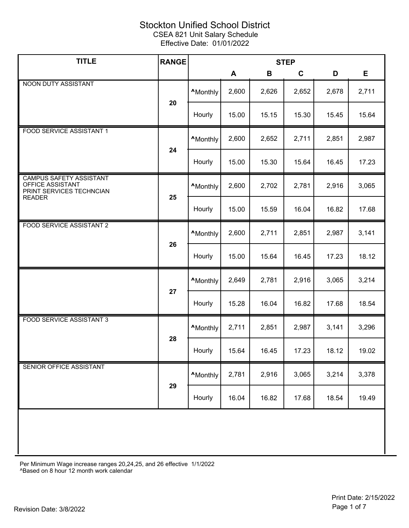| <b>TITLE</b>                                                                   | <b>RANGE</b> | <b>STEP</b>      |       |       |             |       |       |
|--------------------------------------------------------------------------------|--------------|------------------|-------|-------|-------------|-------|-------|
|                                                                                |              |                  | A     | B     | $\mathbf c$ | D     | E     |
| NOON DUTY ASSISTANT                                                            |              | <b>A</b> Monthly | 2,600 | 2,626 | 2,652       | 2,678 | 2,711 |
|                                                                                | 20           | Hourly           | 15.00 | 15.15 | 15.30       | 15.45 | 15.64 |
| FOOD SERVICE ASSISTANT 1                                                       |              | <b>A</b> Monthly | 2,600 | 2,652 | 2,711       | 2,851 | 2,987 |
|                                                                                | 24           | Hourly           | 15.00 | 15.30 | 15.64       | 16.45 | 17.23 |
| <b>CAMPUS SAFETY ASSISTANT</b><br>OFFICE ASSISTANT<br>PRINT SERVICES TECHNCIAN | 25           | <b>A</b> Monthly | 2,600 | 2,702 | 2,781       | 2,916 | 3,065 |
| <b>READER</b>                                                                  |              | Hourly           | 15.00 | 15.59 | 16.04       | 16.82 | 17.68 |
| <b>FOOD SERVICE ASSISTANT 2</b>                                                |              | <b>A</b> Monthly | 2,600 | 2,711 | 2,851       | 2,987 | 3,141 |
|                                                                                | 26           | Hourly           | 15.00 | 15.64 | 16.45       | 17.23 | 18.12 |
|                                                                                |              | <b>A</b> Monthly | 2,649 | 2,781 | 2,916       | 3,065 | 3,214 |
|                                                                                | 27           | Hourly           | 15.28 | 16.04 | 16.82       | 17.68 | 18.54 |
| <b>FOOD SERVICE ASSISTANT 3</b>                                                | 28           | <b>A</b> Monthly | 2,711 | 2,851 | 2,987       | 3,141 | 3,296 |
|                                                                                |              | Hourly           | 15.64 | 16.45 | 17.23       | 18.12 | 19.02 |
| SENIOR OFFICE ASSISTANT                                                        | 29           | <b>A</b> Monthly | 2,781 | 2,916 | 3,065       | 3,214 | 3,378 |
|                                                                                |              | Hourly           | 16.04 | 16.82 | 17.68       | 18.54 | 19.49 |
|                                                                                |              |                  |       |       |             |       |       |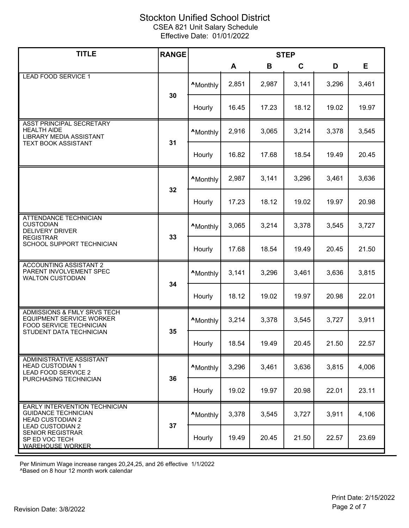| <b>TITLE</b>                                                                                                                                                                                    | <b>RANGE</b> | <b>STEP</b>      |       |       |       |       |       |
|-------------------------------------------------------------------------------------------------------------------------------------------------------------------------------------------------|--------------|------------------|-------|-------|-------|-------|-------|
|                                                                                                                                                                                                 |              |                  | A     | B     | C     | D     | Е     |
| <b>LEAD FOOD SERVICE 1</b>                                                                                                                                                                      | 30           | <b>A</b> Monthly | 2,851 | 2,987 | 3,141 | 3,296 | 3,461 |
|                                                                                                                                                                                                 |              | Hourly           | 16.45 | 17.23 | 18.12 | 19.02 | 19.97 |
| ASST PRINCIPAL SECRETARY<br><b>HEALTH AIDE</b><br>LIBRARY MEDIA ASSISTANT                                                                                                                       | 31           | <b>A</b> Monthly | 2,916 | 3,065 | 3,214 | 3,378 | 3,545 |
| <b>TEXT BOOK ASSISTANT</b>                                                                                                                                                                      |              | Hourly           | 16.82 | 17.68 | 18.54 | 19.49 | 20.45 |
|                                                                                                                                                                                                 | 32           | <b>A</b> Monthly | 2,987 | 3,141 | 3,296 | 3,461 | 3,636 |
|                                                                                                                                                                                                 |              | Hourly           | 17.23 | 18.12 | 19.02 | 19.97 | 20.98 |
| <b>ATTENDANCE TECHNICIAN</b><br><b>CUSTODIAN</b><br><b>DELIVERY DRIVER</b>                                                                                                                      |              | <b>A</b> Monthly | 3,065 | 3,214 | 3,378 | 3,545 | 3,727 |
| <b>REGISTRAR</b><br>SCHOOL SUPPORT TECHNICIAN                                                                                                                                                   | 33           | Hourly           | 17.68 | 18.54 | 19.49 | 20.45 | 21.50 |
| <b>ACCOUNTING ASSISTANT 2</b><br>PARENT INVOLVEMENT SPEC<br><b>WALTON CUSTODIAN</b><br>34                                                                                                       |              | <b>^Monthly</b>  | 3,141 | 3,296 | 3,461 | 3,636 | 3,815 |
|                                                                                                                                                                                                 |              | Hourly           | 18.12 | 19.02 | 19.97 | 20.98 | 22.01 |
| <b>ADMISSIONS &amp; FMLY SRVS TECH</b><br><b>EQUIPMENT SERVICE WORKER</b><br><b>FOOD SERVICE TECHNICIAN</b>                                                                                     | 35           | <b>A</b> Monthly | 3,214 | 3,378 | 3,545 | 3,727 | 3,911 |
| STUDENT DATA TECHNICIAN                                                                                                                                                                         |              | Hourly           | 18.54 | 19.49 | 20.45 | 21.50 | 22.57 |
| <b>ADMINISTRATIVE ASSISTANT</b><br><b>HEAD CUSTODIAN 1</b><br><b>LEAD FOOD SERVICE 2</b><br>36<br>PURCHASING TECHNICIAN                                                                         |              | <b>A</b> Monthly | 3,296 | 3,461 | 3,636 | 3,815 | 4,006 |
|                                                                                                                                                                                                 |              | Hourly           | 19.02 | 19.97 | 20.98 | 22.01 | 23.11 |
| EARLY INTERVENTION TECHNICIAN<br><b>GUIDANCE TECHNICIAN</b><br><b>HEAD CUSTODIAN 2</b><br>37<br><b>LEAD CUSTODIAN 2</b><br><b>SENIOR REGISTRAR</b><br>SP ED VOC TECH<br><b>WAREHOUSE WORKER</b> |              | <b>AMonthly</b>  | 3,378 | 3,545 | 3,727 | 3,911 | 4,106 |
|                                                                                                                                                                                                 |              | Hourly           | 19.49 | 20.45 | 21.50 | 22.57 | 23.69 |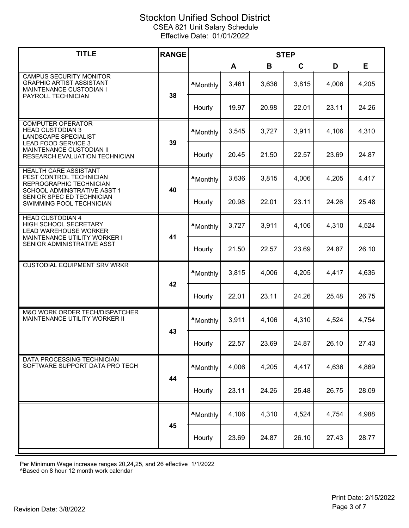| <b>TITLE</b>                                                                                                       | <b>RANGE</b> | <b>STEP</b>      |       |       |       |       |       |
|--------------------------------------------------------------------------------------------------------------------|--------------|------------------|-------|-------|-------|-------|-------|
|                                                                                                                    |              |                  | A     | B     | C     | D     | Е     |
| <b>CAMPUS SECURITY MONITOR</b><br><b>GRAPHIC ARTIST ASSISTANT</b><br>MAINTENANCE CUSTODIAN I<br>PAYROLL TECHNICIAN | 38           | <b>A</b> Monthly | 3,461 | 3,636 | 3,815 | 4,006 | 4,205 |
|                                                                                                                    |              | Hourly           | 19.97 | 20.98 | 22.01 | 23.11 | 24.26 |
| <b>COMPUTER OPERATOR</b><br><b>HEAD CUSTODIAN 3</b><br><b>LANDSCAPE SPECIALIST</b><br><b>LEAD FOOD SERVICE 3</b>   | 39           | <b>A</b> Monthly | 3,545 | 3,727 | 3,911 | 4,106 | 4,310 |
| MAINTENANCE CUSTODIAN II<br>RESEARCH EVALUATION TECHNICIAN                                                         |              | Hourly           | 20.45 | 21.50 | 22.57 | 23.69 | 24.87 |
| HEALTH CARE ASSISTANT<br>PEST CONTROL TECHNICIAN<br>REPROGRAPHIC TECHNICIAN                                        | 40           | <b>A</b> Monthly | 3,636 | 3,815 | 4,006 | 4,205 | 4,417 |
| SCHOOL ADMINSTRATIVE ASST 1<br>SENIOR SPEC ED TECHNICIAN<br>SWIMMING POOL TECHNICIAN                               |              | Hourly           | 20.98 | 22.01 | 23.11 | 24.26 | 25.48 |
| <b>HEAD CUSTODIAN 4</b><br>HIGH SCHOOL SECRETARY<br><b>LEAD WAREHOUSE WORKER</b>                                   |              | <b>A</b> Monthly | 3,727 | 3,911 | 4,106 | 4,310 | 4,524 |
| MAINTENANCE UTILITY WORKER I<br>SENIOR ADMINISTRATIVE ASST                                                         | 41           | Hourly           | 21.50 | 22.57 | 23.69 | 24.87 | 26.10 |
| <b>CUSTODIAL EQUIPMENT SRV WRKR</b>                                                                                |              | <b>A</b> Monthly | 3,815 | 4,006 | 4,205 | 4,417 | 4,636 |
|                                                                                                                    | 42           | Hourly           | 22.01 | 23.11 | 24.26 | 25.48 | 26.75 |
| M&O WORK ORDER TECH/DISPATCHER<br>MAINTENANCE UTILITY WORKER II                                                    |              | <b>AMonthly</b>  | 3,911 | 4,106 | 4,310 | 4,524 | 4,754 |
|                                                                                                                    | 43           | Hourly           | 22.57 | 23.69 | 24.87 | 26.10 | 27.43 |
| DATA PROCESSING TECHNICIAN<br>SOFTWARE SUPPORT DATA PRO TECH                                                       | 44           | <b>A</b> Monthly | 4,006 | 4,205 | 4,417 | 4,636 | 4,869 |
|                                                                                                                    |              | Hourly           | 23.11 | 24.26 | 25.48 | 26.75 | 28.09 |
|                                                                                                                    | 45           | <b>A</b> Monthly | 4,106 | 4,310 | 4,524 | 4,754 | 4,988 |
|                                                                                                                    |              | Hourly           | 23.69 | 24.87 | 26.10 | 27.43 | 28.77 |

Per Minimum Wage increase ranges 20,24,25, and 26 effective 1/1/2022

^Based on 8 hour 12 month work calendar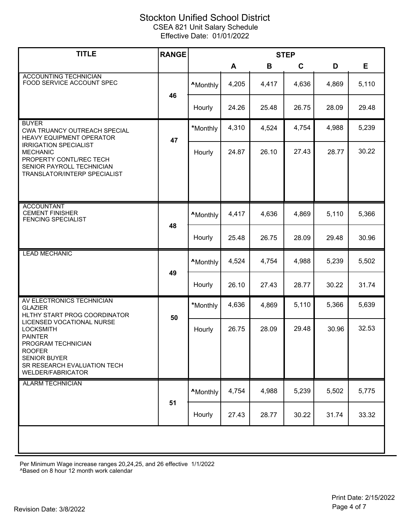| <b>TITLE</b>                                                                                                                            | <b>RANGE</b> | <b>STEP</b>      |       |       |       |       |       |
|-----------------------------------------------------------------------------------------------------------------------------------------|--------------|------------------|-------|-------|-------|-------|-------|
|                                                                                                                                         |              |                  | A     | B     | C     | D     | Е     |
| <b>ACCOUNTING TECHNICIAN</b><br>FOOD SERVICE ACCOUNT SPEC                                                                               |              | <b>A</b> Monthly | 4,205 | 4,417 | 4,636 | 4,869 | 5,110 |
|                                                                                                                                         | 46           | Hourly           | 24.26 | 25.48 | 26.75 | 28.09 | 29.48 |
| <b>BUYER</b><br>CWA TRUANCY OUTREACH SPECIAL<br><b>HEAVY EQUIPMENT OPERATOR</b>                                                         | 47           | *Monthly         | 4,310 | 4,524 | 4,754 | 4,988 | 5,239 |
| <b>IRRIGATION SPECIALIST</b><br><b>MECHANIC</b><br>PROPERTY CONTL/REC TECH<br>SENIOR PAYROLL TECHNICIAN<br>TRANSLATOR/INTERP SPECIALIST |              | Hourly           | 24.87 | 26.10 | 27.43 | 28.77 | 30.22 |
|                                                                                                                                         |              |                  |       |       |       |       |       |
| <b>ACCOUNTANT</b><br><b>CEMENT FINISHER</b><br><b>FENCING SPECIALIST</b>                                                                |              | <b>A</b> Monthly | 4,417 | 4,636 | 4,869 | 5,110 | 5,366 |
|                                                                                                                                         | 48           | Hourly           | 25.48 | 26.75 | 28.09 | 29.48 | 30.96 |
| <b>LEAD MECHANIC</b>                                                                                                                    | 49           | <b>A</b> Monthly | 4,524 | 4,754 | 4,988 | 5,239 | 5,502 |
|                                                                                                                                         |              | Hourly           | 26.10 | 27.43 | 28.77 | 30.22 | 31.74 |
| AV ELECTRONICS TECHNICIAN<br><b>GLAZIER</b><br>HLTHY START PROG COORDINATOR                                                             | 50           | *Monthly         | 4,636 | 4,869 | 5,110 | 5,366 | 5,639 |
| LICENSED VOCATIONAL NURSE<br><b>LOCKSMITH</b><br><b>PAINTER</b>                                                                         |              | Hourly           | 26.75 | 28.09 | 29.48 | 30.96 | 32.53 |
| PROGRAM TECHNICIAN<br><b>ROOFER</b><br><b>SENIOR BUYER</b><br>SR RESEARCH EVALUATION TECH<br><b>WELDER/FABRICATOR</b>                   |              |                  |       |       |       |       |       |
| <b>ALARM TECHNICIAN</b>                                                                                                                 | 51           | <b>A</b> Monthly | 4,754 | 4,988 | 5,239 | 5,502 | 5,775 |
|                                                                                                                                         |              | Hourly           | 27.43 | 28.77 | 30.22 | 31.74 | 33.32 |
|                                                                                                                                         |              |                  |       |       |       |       |       |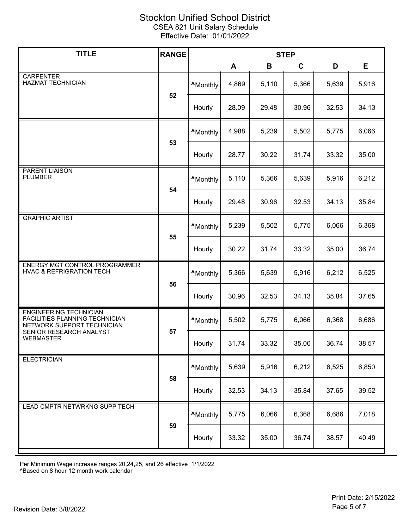| <b>TITLE</b>                                                                                  | <b>RANGE</b> | <b>STEP</b>      |       |       |       |       |       |
|-----------------------------------------------------------------------------------------------|--------------|------------------|-------|-------|-------|-------|-------|
|                                                                                               |              |                  | A     | B     | C     | D     | E     |
| <b>CARPENTER</b><br><b>HAZMAT TECHNICIAN</b>                                                  |              | <b>^Monthly</b>  | 4,869 | 5,110 | 5,366 | 5,639 | 5,916 |
|                                                                                               | 52           | Hourly           | 28.09 | 29.48 | 30.96 | 32.53 | 34.13 |
|                                                                                               |              | <b>A</b> Monthly | 4,988 | 5,239 | 5,502 | 5,775 | 6,066 |
|                                                                                               | 53           | Hourly           | 28.77 | 30.22 | 31.74 | 33.32 | 35.00 |
| <b>PARENT LIAISON</b><br><b>PLUMBER</b>                                                       |              | <b>A</b> Monthly | 5,110 | 5,366 | 5,639 | 5,916 | 6,212 |
|                                                                                               | 54           | Hourly           | 29.48 | 30.96 | 32.53 | 34.13 | 35.84 |
| <b>GRAPHIC ARTIST</b>                                                                         |              | <b>A</b> Monthly | 5,239 | 5,502 | 5,775 | 6,066 | 6,368 |
|                                                                                               | 55           | Hourly           | 30.22 | 31.74 | 33.32 | 35.00 | 36.74 |
| ENERGY MGT CONTROL PROGRAMMER<br><b>HVAC &amp; REFRIGRATION TECH</b>                          |              | <b>A</b> Monthly | 5,366 | 5,639 | 5,916 | 6,212 | 6,525 |
|                                                                                               | 56           | Hourly           | 30.96 | 32.53 | 34.13 | 35.84 | 37.65 |
| <b>ENGINEERING TECHNICIAN</b><br>FACILITIES PLANNING TECHNICIAN<br>NETWORK SUPPORT TECHNICIAN |              | <b>A</b> Monthly | 5,502 | 5,775 | 6,066 | 6,368 | 6,686 |
| SENIOR RESEARCH ANALYST<br><b>WEBMASTER</b>                                                   | 57           | Hourly           | 31.74 | 33.32 | 35.00 | 36.74 | 38.57 |
| <b>ELECTRICIAN</b>                                                                            |              | <b>A</b> Monthly | 5,639 | 5,916 | 6,212 | 6,525 | 6,850 |
|                                                                                               | 58           | Hourly           | 32.53 | 34.13 | 35.84 | 37.65 | 39.52 |
| LEAD CMPTR NETWRKNG SUPP TECH                                                                 | 59           | <b>A</b> Monthly | 5,775 | 6,066 | 6,368 | 6,686 | 7,018 |
|                                                                                               |              | Hourly           | 33.32 | 35.00 | 36.74 | 38.57 | 40.49 |

Per Minimum Wage increase ranges 20,24,25, and 26 effective 1/1/2022

^Based on 8 hour 12 month work calendar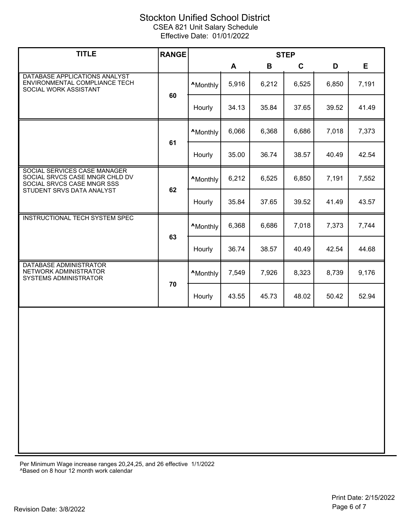| <b>TITLE</b>                                                                                 | <b>RANGE</b> | <b>STEP</b>      |       |       |       |       |       |
|----------------------------------------------------------------------------------------------|--------------|------------------|-------|-------|-------|-------|-------|
|                                                                                              |              |                  | A     | B     | C     | D     | E.    |
| DATABASE APPLICATIONS ANALYST<br>ENVIRONMENTAL COMPLIANCE TECH<br>SOCIAL WORK ASSISTANT      |              | <b>A</b> Monthly | 5,916 | 6,212 | 6,525 | 6,850 | 7,191 |
|                                                                                              | 60           | Hourly           | 34.13 | 35.84 | 37.65 | 39.52 | 41.49 |
|                                                                                              |              | <b>A</b> Monthly | 6,066 | 6,368 | 6,686 | 7,018 | 7,373 |
|                                                                                              | 61           | Hourly           | 35.00 | 36.74 | 38.57 | 40.49 | 42.54 |
| SOCIAL SERVICES CASE MANAGER<br>SOCIAL SRVCS CASE MNGR CHLD DV<br>SOCIAL SRVCS CASE MNGR SSS |              | <b>A</b> Monthly | 6,212 | 6,525 | 6,850 | 7,191 | 7,552 |
| STUDENT SRVS DATA ANALYST                                                                    | 62           | Hourly           | 35.84 | 37.65 | 39.52 | 41.49 | 43.57 |
| <b>INSTRUCTIONAL TECH SYSTEM SPEC</b>                                                        |              | <b>A</b> Monthly | 6,368 | 6,686 | 7,018 | 7,373 | 7,744 |
|                                                                                              | 63           | Hourly           | 36.74 | 38.57 | 40.49 | 42.54 | 44.68 |
| DATABASE ADMINISTRATOR<br>NETWORK ADMINISTRATOR<br><b>SYSTEMS ADMINISTRATOR</b>              |              | <b>AMonthly</b>  | 7,549 | 7,926 | 8,323 | 8,739 | 9,176 |
|                                                                                              | 70           | Hourly           | 43.55 | 45.73 | 48.02 | 50.42 | 52.94 |
|                                                                                              |              |                  |       |       |       |       |       |